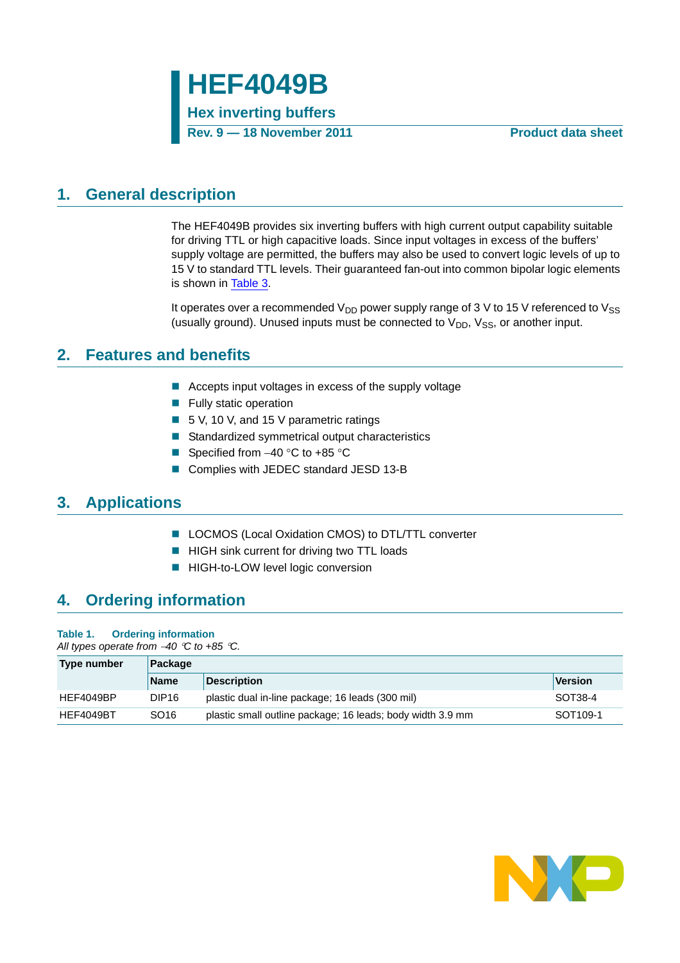### <span id="page-0-0"></span>**1. General description**

The HEF4049B provides six inverting buffers with high current output capability suitable for driving TTL or high capacitive loads. Since input voltages in excess of the buffers' supply voltage are permitted, the buffers may also be used to convert logic levels of up to 15 V to standard TTL levels. Their guaranteed fan-out into common bipolar logic elements is shown in [Table 3](#page-2-0).

It operates over a recommended  $V_{DD}$  power supply range of 3 V to 15 V referenced to  $V_{SS}$ (usually ground). Unused inputs must be connected to  $V_{DD}$ ,  $V_{SS}$ , or another input.

### <span id="page-0-1"></span>**2. Features and benefits**

- Accepts input voltages in excess of the supply voltage
- **Fully static operation**
- 5 V, 10 V, and 15 V parametric ratings
- Standardized symmetrical output characteristics
- Specified from  $-40$  °C to  $+85$  °C
- Complies with JEDEC standard JESD 13-B

### <span id="page-0-2"></span>**3. Applications**

- LOCMOS (Local Oxidation CMOS) to DTL/TTL converter
- **HIGH sink current for driving two TTL loads**
- **HIGH-to-LOW level logic conversion**

### <span id="page-0-3"></span>**4. Ordering information**

#### **Table 1. Ordering information**

*All types operate from 40 C to +85 C.*

| Type number | Package           |                                                            |                      |  |  |  |
|-------------|-------------------|------------------------------------------------------------|----------------------|--|--|--|
|             | <b>Name</b>       | <b>Description</b>                                         | Version              |  |  |  |
| HEF4049BP   | DIP <sub>16</sub> | plastic dual in-line package; 16 leads (300 mil)           | SOT38-4              |  |  |  |
| HEF4049BT   | SO <sub>16</sub>  | plastic small outline package; 16 leads; body width 3.9 mm | SOT <sub>109-1</sub> |  |  |  |

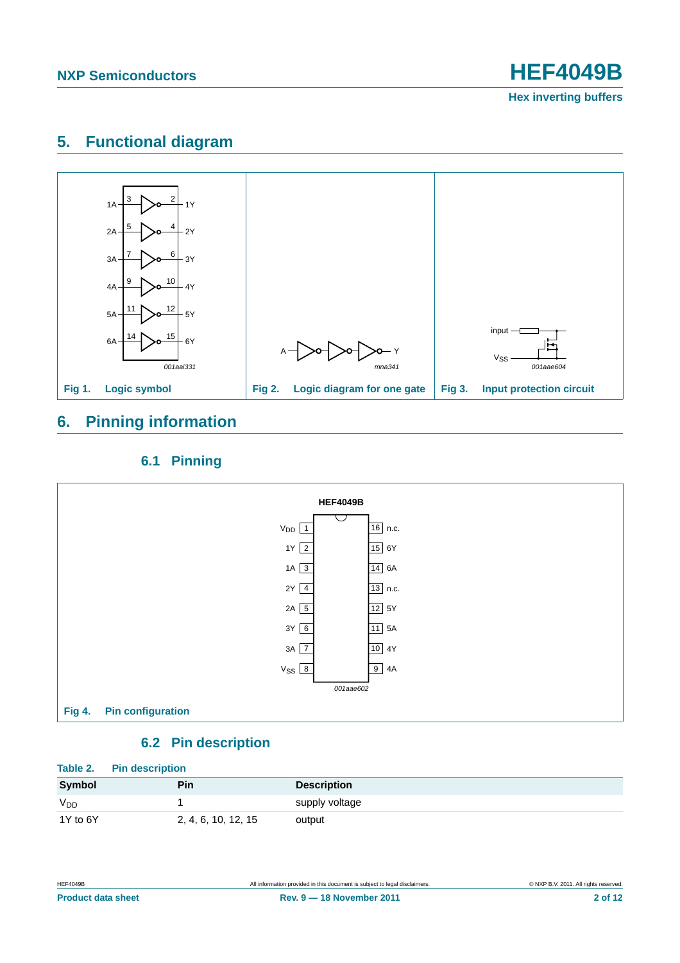### <span id="page-1-0"></span>**5. Functional diagram**



### <span id="page-1-1"></span>**6. Pinning information**

#### **6.1 Pinning**

<span id="page-1-2"></span>

### **6.2 Pin description**

<span id="page-1-3"></span>

|                       | Table 2. Pin description |                    |  |  |  |  |
|-----------------------|--------------------------|--------------------|--|--|--|--|
| Symbol                | Pin                      | <b>Description</b> |  |  |  |  |
| <b>V<sub>DD</sub></b> |                          | supply voltage     |  |  |  |  |
| 1Y to 6Y              | 2, 4, 6, 10, 12, 15      | output             |  |  |  |  |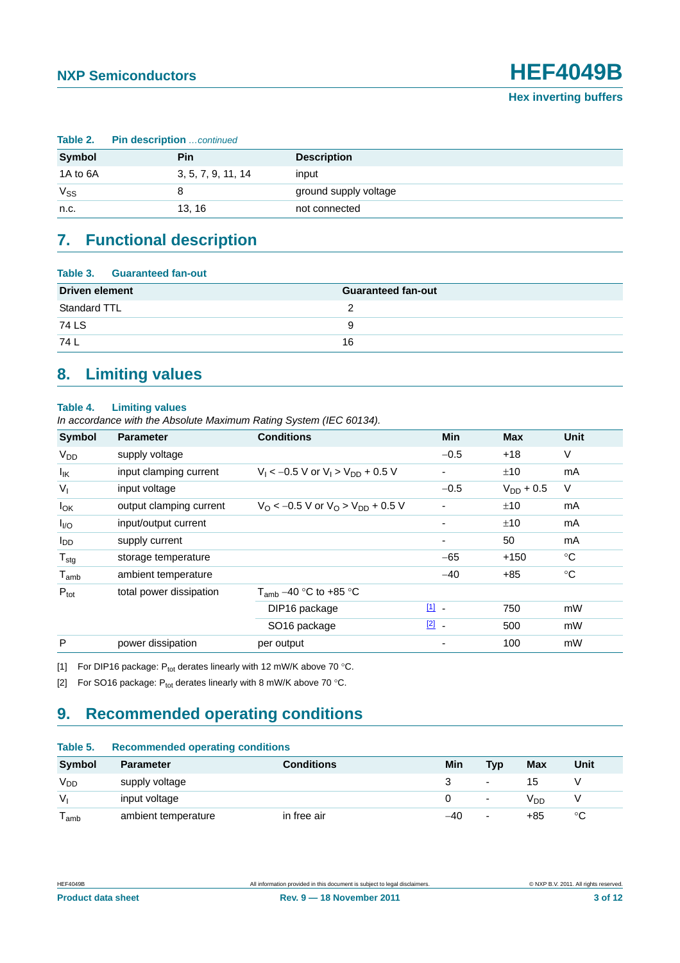|          | Table 2. Pin description  continued |                       |  |  |  |  |
|----------|-------------------------------------|-----------------------|--|--|--|--|
| Symbol   | <b>Pin</b>                          | <b>Description</b>    |  |  |  |  |
| 1A to 6A | 3, 5, 7, 9, 11, 14                  | input                 |  |  |  |  |
| Vss      | 8                                   | ground supply voltage |  |  |  |  |
| n.c.     | 13, 16                              | not connected         |  |  |  |  |

# <span id="page-2-3"></span>**7. Functional description**

<span id="page-2-0"></span>

| Table 3. Guaranteed fan-out |                           |
|-----------------------------|---------------------------|
| <b>Driven element</b>       | <b>Guaranteed fan-out</b> |
| Standard TTL                |                           |
| 74 LS                       | 9                         |
| 74 L                        | 16                        |

### <span id="page-2-4"></span>**8. Limiting values**

#### **Table 4. Limiting values**

*In accordance with the Absolute Maximum Rating System (IEC 60134).*

| <b>Symbol</b>               | <b>Parameter</b>        | <b>Conditions</b>                                               | <b>Min</b>              | <b>Max</b>     | <b>Unit</b> |
|-----------------------------|-------------------------|-----------------------------------------------------------------|-------------------------|----------------|-------------|
| $V_{DD}$                    | supply voltage          |                                                                 | $-0.5$                  | $+18$          | V           |
| $I_{IK}$                    | input clamping current  | $V_1 < -0.5$ V or $V_1 > V_{DD} + 0.5$ V                        |                         | ±10            | mA          |
| $V_{I}$                     | input voltage           |                                                                 | $-0.5$                  | $V_{DD}$ + 0.5 | V           |
| $I_{OK}$                    | output clamping current | $V_{\Omega}$ < -0.5 V or $V_{\Omega}$ > $V_{\text{DD}}$ + 0.5 V |                         | ±10            | mA          |
| $I_{\text{IO}}$             | input/output current    |                                                                 |                         | ±10            | mA          |
| <b>I</b> <sub>DD</sub>      | supply current          |                                                                 |                         | 50             | mA          |
| $T_{\text{stg}}$            | storage temperature     |                                                                 | $-65$                   | $+150$         | $^{\circ}C$ |
| $\mathsf{T}_{\mathsf{amb}}$ | ambient temperature     |                                                                 | $-40$                   | $+85$          | $^{\circ}C$ |
| $P_{\text{tot}}$            | total power dissipation | $T_{amb}$ –40 °C to +85 °C                                      |                         |                |             |
|                             |                         | DIP16 package                                                   | $\boxed{1}$ $\boxed{1}$ | 750            | mW          |
|                             |                         | SO <sub>16</sub> package                                        | $\boxed{2}$ -           | 500            | mW          |
| P                           | power dissipation       | per output                                                      |                         | 100            | mW          |

<span id="page-2-1"></span>[1] For DIP16 package:  $P_{tot}$  derates linearly with 12 mW/K above 70 °C.

<span id="page-2-2"></span>[2] For SO16 package:  $P_{\text{tot}}$  derates linearly with 8 mW/K above 70 °C.

### <span id="page-2-5"></span>**9. Recommended operating conditions**

#### **Table 5. Recommended operating conditions**

| <b>Symbol</b> | <b>Parameter</b>    | <b>Conditions</b> | Min | Typ                      | Max | Unit |
|---------------|---------------------|-------------------|-----|--------------------------|-----|------|
| $V_{DD}$      | supply voltage      |                   |     | $\overline{\phantom{0}}$ |     |      |
| $V_{1}$       | input voltage       |                   |     | $\overline{\phantom{0}}$ | חח∨ |      |
| l amb         | ambient temperature | in free air       | -40 | $\overline{\phantom{0}}$ | +85 | °C   |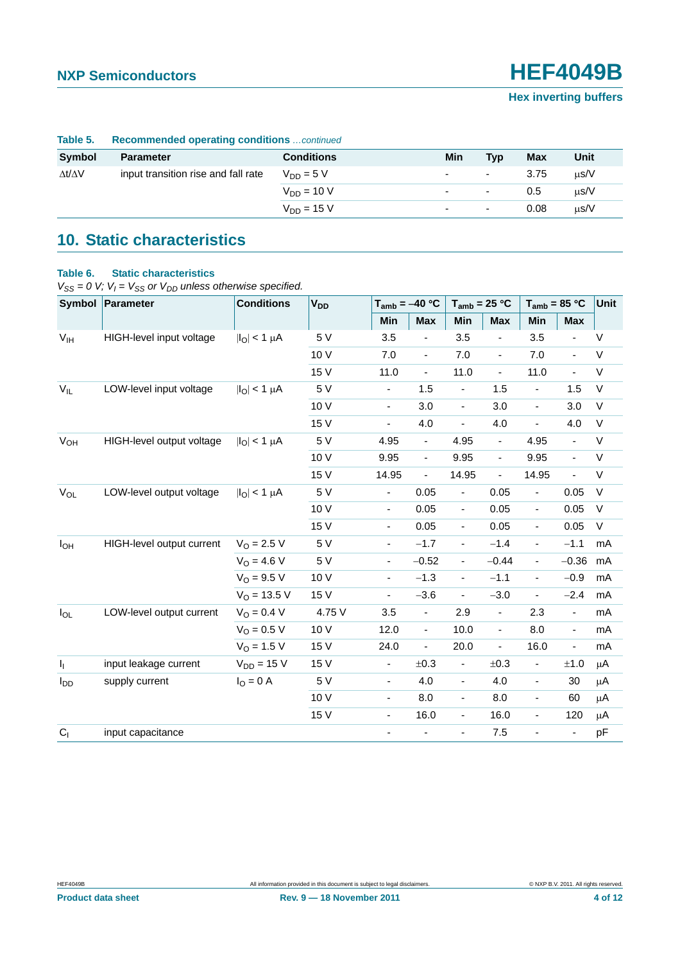**NXP Semiconductors HEF4049B**

**Hex inverting buffers**

| Table 5.            | <b>Recommended operating conditions</b> continued |                   |                |        |      |           |  |
|---------------------|---------------------------------------------------|-------------------|----------------|--------|------|-----------|--|
| Symbol              | <b>Parameter</b>                                  | <b>Conditions</b> | Min            | Tvp    | Max  | Unit      |  |
| $\Delta t/\Delta V$ | input transition rise and fall rate               | $V_{DD} = 5 V$    | ٠              | $\sim$ | 3.75 | $\mu$ s/V |  |
|                     |                                                   | $V_{DD} = 10 V$   | $\sim$         | $\sim$ | 0.5  | $\mu$ s/V |  |
|                     |                                                   | $V_{DD} = 15 V$   | $\overline{a}$ | $\sim$ | 0.08 | $\mu$ s/V |  |

## <span id="page-3-1"></span>**10. Static characteristics**

#### <span id="page-3-0"></span>**Table 6. Static characteristics**

 $V_{SS} = 0$  V;  $V_I = V_{SS}$  or  $V_{DD}$  unless otherwise specified.

| Symbol                 | Parameter                 | <b>Conditions</b>        | <b>V<sub>DD</sub></b> | $T_{amb} = -40 °C$       |                              | $T_{amb}$ = 25 °C            |                | $T_{amb}$ = 85 °C        |                              | Unit        |
|------------------------|---------------------------|--------------------------|-----------------------|--------------------------|------------------------------|------------------------------|----------------|--------------------------|------------------------------|-------------|
|                        |                           |                          |                       | Min                      | <b>Max</b>                   | Min                          | <b>Max</b>     | Min                      | <b>Max</b>                   |             |
| V <sub>IH</sub>        | HIGH-level input voltage  | $ I_{O}  < 1 \mu A$      | 5 V                   | 3.5                      | $\overline{\phantom{a}}$     | 3.5                          |                | 3.5                      | $\overline{\phantom{a}}$     | $\vee$      |
|                        |                           |                          | 10 V                  | 7.0                      | $\qquad \qquad \blacksquare$ | 7.0                          | $\blacksquare$ | 7.0                      | $\blacksquare$               | $\sf V$     |
|                        |                           |                          | 15 V                  | 11.0                     | $\overline{\phantom{a}}$     | 11.0                         | $\blacksquare$ | 11.0                     | $\blacksquare$               | V           |
| $V_{IL}$               | LOW-level input voltage   | $ I_{\Omega}  < 1 \mu A$ | 5 V                   | $\overline{\phantom{a}}$ | 1.5                          | $\blacksquare$               | 1.5            | $\blacksquare$           | 1.5                          | $\vee$      |
|                        |                           |                          | 10 V                  | $\overline{\phantom{a}}$ | 3.0                          | $\overline{\phantom{a}}$     | 3.0            | $\blacksquare$           | 3.0                          | $\sf V$     |
|                        |                           |                          | 15 V                  | $\blacksquare$           | 4.0                          | $\overline{a}$               | 4.0            | ÷,                       | 4.0                          | $\vee$      |
| V <sub>OH</sub>        | HIGH-level output voltage | $ I_{\Omega}  < 1 \mu A$ | 5 V                   | 4.95                     | $\blacksquare$               | 4.95                         | $\blacksquare$ | 4.95                     | $\blacksquare$               | V           |
|                        |                           |                          | 10 V                  | 9.95                     | $\overline{\phantom{a}}$     | 9.95                         | $\blacksquare$ | 9.95                     | $\blacksquare$               | V           |
|                        |                           |                          | 15 V                  | 14.95                    | $\qquad \qquad \blacksquare$ | 14.95                        | $\blacksquare$ | 14.95                    | $\blacksquare$               | $\sf V$     |
| $V_{OL}$               | LOW-level output voltage  | $ I_{\Omega}  < 1 \mu A$ | 5 V                   | $\overline{\phantom{a}}$ | 0.05                         | $\qquad \qquad \blacksquare$ | 0.05           | $\overline{\phantom{0}}$ | 0.05                         | V           |
|                        |                           |                          | 10 V                  | $\overline{\phantom{a}}$ | 0.05                         | $\overline{\phantom{a}}$     | 0.05           | $\overline{\phantom{a}}$ | 0.05                         | $\sf V$     |
|                        |                           |                          | 15 V                  | $\overline{\phantom{a}}$ | 0.05                         | $\overline{\phantom{a}}$     | 0.05           | $\overline{\phantom{a}}$ | 0.05                         | $\mathsf V$ |
| $I_{OH}$               | HIGH-level output current | $V_{O} = 2.5 V$          | 5 V                   | $\blacksquare$           | $-1.7$                       | $\overline{\phantom{a}}$     | $-1.4$         | ÷,                       | $-1.1$                       | mA          |
|                        |                           | $V_{\Omega} = 4.6 V$     | 5 V                   | $\frac{1}{2}$            | $-0.52$                      | $\frac{1}{2}$                | $-0.44$        | ÷,                       | $-0.36$                      | mA          |
|                        |                           | $V_{\Omega} = 9.5 V$     | 10 V                  | $\frac{1}{2}$            | $-1.3$                       | $\blacksquare$               | $-1.1$         | ÷,                       | $-0.9$                       | mA          |
|                        |                           | $V_{O}$ = 13.5 V         | 15 V                  | $\overline{\phantom{a}}$ | $-3.6$                       | $\blacksquare$               | $-3.0$         | $\overline{\phantom{a}}$ | $-2.4$                       | mA          |
| $I_{OL}$               | LOW-level output current  | $V_{\Omega} = 0.4 V$     | 4.75 V                | 3.5                      | $\blacksquare$               | 2.9                          | $\blacksquare$ | 2.3                      | $\blacksquare$               | mA          |
|                        |                           | $V_{\Omega} = 0.5 V$     | 10 V                  | 12.0                     | $\blacksquare$               | 10.0                         | $\blacksquare$ | 8.0                      | $\blacksquare$               | mA          |
|                        |                           | $V_{O} = 1.5 V$          | 15 V                  | 24.0                     | $\overline{\phantom{0}}$     | 20.0                         | $\blacksquare$ | 16.0                     | $\qquad \qquad \blacksquare$ | mA          |
| $I_{\rm I}$            | input leakage current     | $V_{DD} = 15 V$          | 15 V                  | ۰.                       | ±0.3                         | $\qquad \qquad \blacksquare$ | ±0.3           | $\frac{1}{2}$            | ±1.0                         | $\mu$ A     |
| <b>l</b> <sub>DD</sub> | supply current            | $IO = 0$ A               | 5 V                   | $\overline{\phantom{a}}$ | 4.0                          | $\overline{\phantom{a}}$     | 4.0            | $\overline{\phantom{a}}$ | 30                           | $\mu$ A     |
|                        |                           |                          | 10 V                  | $\overline{\phantom{a}}$ | 8.0                          | $\frac{1}{2}$                | 8.0            | ÷,                       | 60                           | μA          |
|                        |                           |                          | 15 V                  | $\frac{1}{2}$            | 16.0                         | $\blacksquare$               | 16.0           | ÷,                       | 120                          | μA          |
| C <sub>1</sub>         | input capacitance         |                          |                       |                          |                              | $\frac{1}{2}$                | 7.5            | ٠                        | ٠                            | pF          |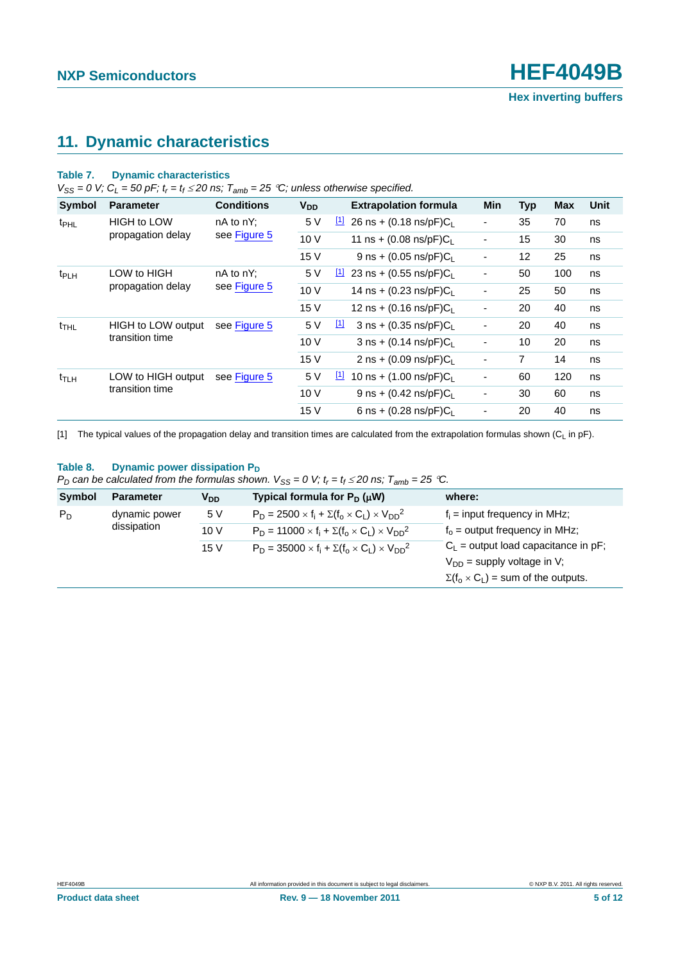### <span id="page-4-1"></span>**11. Dynamic characteristics**

#### **Table 7. Dynamic characteristics**

 $V_{SS} = 0$  V;  $C_L = 50$  pF;  $t_r = t_f \le 20$  ns;  $T_{amb} = 25$  °C; unless otherwise specified.

| Symbol            | <b>Parameter</b>          | <b>Conditions</b> | V <sub>DD</sub>                   | <b>Extrapolation formula</b>                       | Min                      | <b>Typ</b> | <b>Max</b> | Unit |
|-------------------|---------------------------|-------------------|-----------------------------------|----------------------------------------------------|--------------------------|------------|------------|------|
| t <sub>PHL</sub>  | <b>HIGH to LOW</b>        | $nA$ to $nY$ :    | 5 V                               | $\boxed{1}$<br>26 ns + $(0.18 \text{ ns/pF})C_L$   | $\overline{\phantom{0}}$ | 35         | 70         | ns   |
|                   | propagation delay         | see Figure 5      | 10 V                              | 11 ns + $(0.08 \text{ ns/pF})C_{L}$                | ۰                        | 15         | 30         | ns   |
|                   |                           |                   | 15 V                              | 9 ns + $(0.05 \text{ ns/pF})C_L$                   | $\overline{\phantom{a}}$ | 12         | 25         | ns   |
| t <sub>PLH</sub>  | LOW to HIGH               | $nA$ to $nY$ :    | 5 V                               | 23 ns + $(0.55 \text{ ns/pF})C_L$<br>Щ             | $\overline{\phantom{a}}$ | 50         | 100        | ns   |
| propagation delay | see Figure 5              | 10 V              | 14 ns + $(0.23 \text{ ns/pF})C_L$ | $\blacksquare$                                     | 25                       | 50         | ns         |      |
|                   |                           |                   | 15 V                              | 12 ns + $(0.16 \text{ ns/pF})C_1$                  | $\overline{\phantom{a}}$ | 20         | 40         | ns   |
| $t_{\text{THL}}$  | <b>HIGH to LOW output</b> | see Figure 5      | 5 V                               | <u>[1]</u><br>$3$ ns + (0.35 ns/pF)C <sub>1</sub>  | $\overline{\phantom{a}}$ | 20         | 40         | ns   |
|                   | transition time           |                   | 10 V                              | $3$ ns + (0.14 ns/pF)C                             | $\overline{\phantom{a}}$ | 10         | 20         | ns   |
|                   |                           |                   | 15 V                              | $2$ ns + (0.09 ns/pF)C                             | $\overline{\phantom{a}}$ | 7          | 14         | ns   |
| t <sub>TLH</sub>  | LOW to HIGH output        | see Figure 5      | 5 V                               | $\boxed{1}$<br>10 ns + $(1.00 \text{ ns/pF})C_{L}$ | $\overline{\phantom{0}}$ | 60         | 120        | ns   |
|                   | transition time           |                   | 10 V                              | 9 ns + $(0.42 \text{ ns/pF})C_L$                   | $\overline{\phantom{a}}$ | 30         | 60         | ns   |
|                   |                           |                   | 15 V                              | 6 ns + $(0.28 \text{ ns/pF})C_L$                   | $\overline{\phantom{a}}$ | 20         | 40         | ns   |

<span id="page-4-0"></span>[1] The typical values of the propagation delay and transition times are calculated from the extrapolation formulas shown ( $C_L$  in pF).

#### Table 8. Dynamic power dissipation P<sub>D</sub>

| $P_D$ can be calculated from the formulas shown. $V_{SS} = 0$ V; $t_r = t_f \le 20$ ns; $T_{amb} = 25$ °C. |  |  |
|------------------------------------------------------------------------------------------------------------|--|--|
|------------------------------------------------------------------------------------------------------------|--|--|

| Symbol | <b>Parameter</b> | V <sub>DD</sub> | Typical formula for $P_D(\mu W)$                                  | where:                                         |
|--------|------------------|-----------------|-------------------------------------------------------------------|------------------------------------------------|
| $P_D$  | dynamic power    | 5 V             | $P_D = 2500 \times f_i + \Sigma(f_0 \times C_L) \times V_{DD}^2$  | $f_i$ = input frequency in MHz;                |
|        | dissipation      | 10V             | $P_D = 11000 \times f_i + \Sigma(f_0 \times C_L) \times V_{DD}^2$ | $f_0$ = output frequency in MHz;               |
|        |                  | 15 V            | $P_D = 35000 \times f_i + \Sigma(f_0 \times C_1) \times V_{DD}^2$ | $C_L$ = output load capacitance in pF;         |
|        |                  |                 |                                                                   | $V_{DD}$ = supply voltage in V;                |
|        |                  |                 |                                                                   | $\Sigma(f_0 \times C_L)$ = sum of the outputs. |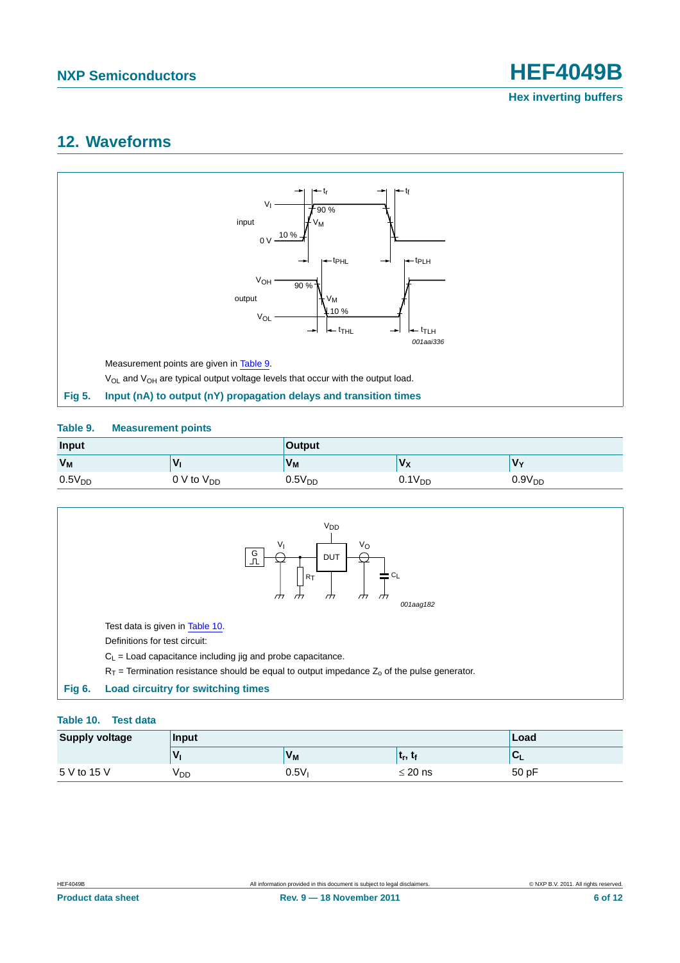### <span id="page-5-3"></span>**12. Waveforms**



#### <span id="page-5-1"></span><span id="page-5-0"></span>**Table 9. Measurement points**

| <b>Input</b> |                      | Output             |                |                    |  |
|--------------|----------------------|--------------------|----------------|--------------------|--|
| $V_M$        |                      | $V_{M}$            | V <sub>x</sub> | $V_{\rm v}$        |  |
| $0.5V_{DD}$  | $0 \vee$ to $V_{DD}$ | 0.5V <sub>DD</sub> | $0.1V_{DD}$    | 0.9V <sub>DD</sub> |  |



#### <span id="page-5-2"></span>**Table 10. Test data**

| <b>Supply voltage</b> | Input | ∣Load   |              |       |
|-----------------------|-------|---------|--------------|-------|
|                       |       | $V_{M}$ | ւր,          |       |
| 5 V to 15 V           | V DD  | 0.5V    | $\leq$ 20 ns | 50 pF |

**Product data sheet** 6 of 12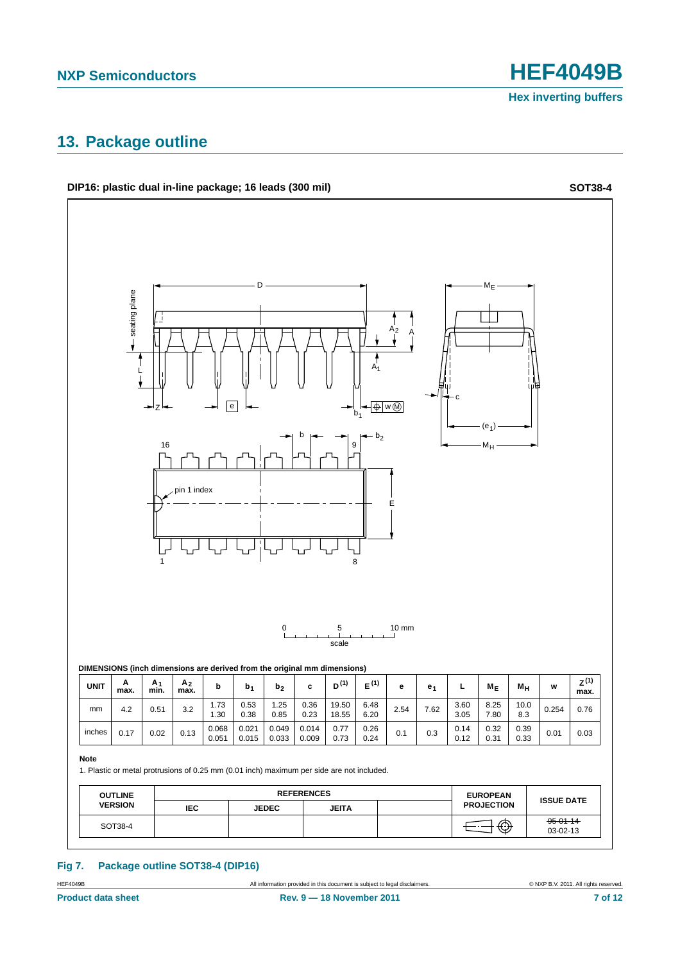### <span id="page-6-0"></span>**13. Package outline**



#### **Fig 7. Package outline SOT38-4 (DIP16)**

HEF4049B All information provided in this document is subject to legal disclaimers. © NXP B.V. 2011. All rights reserved.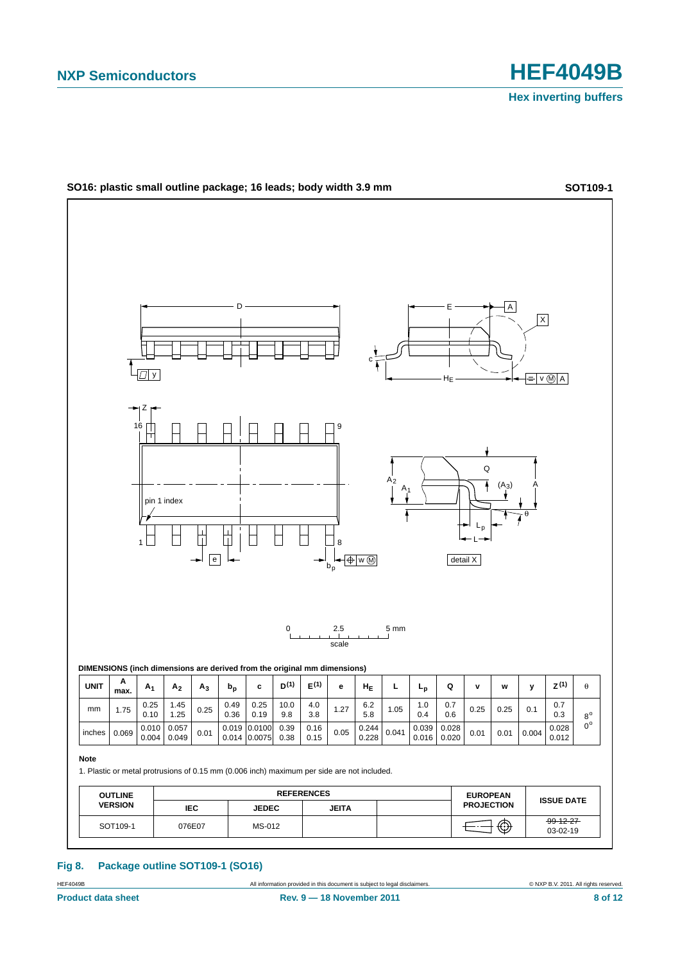

#### **Fig 8. Package outline SOT109-1 (SO16)**

All information provided in this document is subject to legal disclaimers. **Example 2014** COMP B.V. 2011. All rights reserved.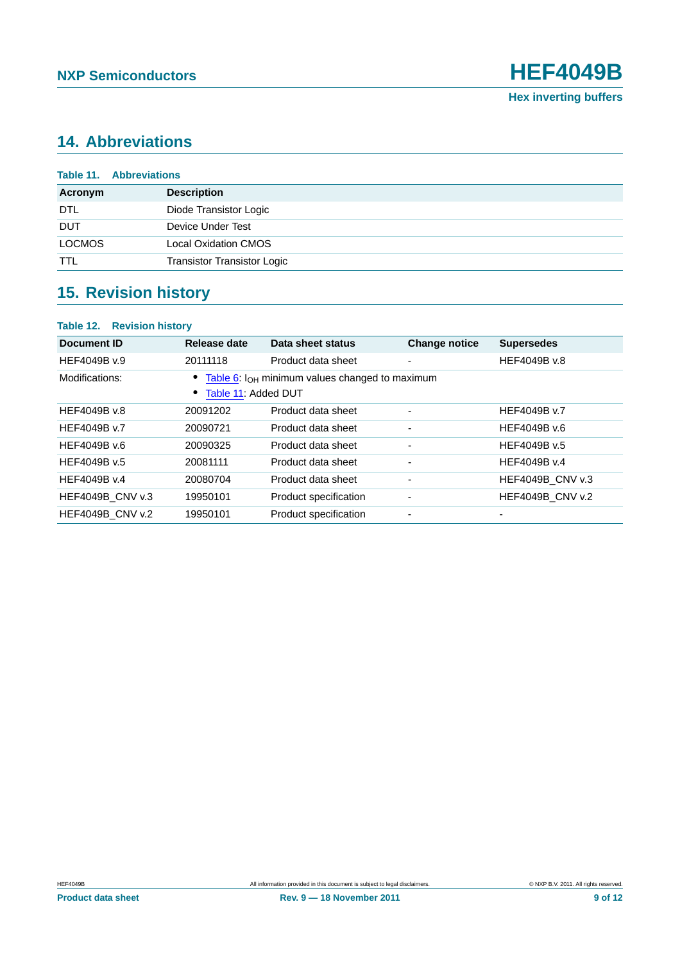## <span id="page-8-1"></span>**14. Abbreviations**

<span id="page-8-0"></span>

| <b>Table 11. Abbreviations</b> |                                    |  |
|--------------------------------|------------------------------------|--|
| Acronym                        | <b>Description</b>                 |  |
| DTL                            | Diode Transistor Logic             |  |
| <b>DUT</b>                     | Device Under Test                  |  |
| <b>LOCMOS</b>                  | <b>Local Oxidation CMOS</b>        |  |
| <b>TTL</b>                     | <b>Transistor Transistor Logic</b> |  |

# <span id="page-8-2"></span>**15. Revision history**

| Document ID             | Release date        | Data sheet status                                   | <b>Change notice</b>     | <b>Supersedes</b>       |
|-------------------------|---------------------|-----------------------------------------------------|--------------------------|-------------------------|
| HEF4049B v.9            | 20111118            | Product data sheet                                  | ٠                        | HEF4049B v.8            |
| Modifications:          | Table 11: Added DUT | Table 6: $I_{OH}$ minimum values changed to maximum |                          |                         |
| HEF4049B v.8            | 20091202            | Product data sheet                                  | ۰                        | HEF4049B v.7            |
| HEF4049B v.7            | 20090721            | Product data sheet                                  | $\overline{\phantom{a}}$ | HEF4049B v.6            |
| HEF4049B v.6            | 20090325            | Product data sheet                                  | $\overline{\phantom{a}}$ | HEF4049B v.5            |
| HEF4049B v.5            | 20081111            | Product data sheet                                  | ۰                        | HEF4049B v.4            |
| HEF4049B v.4            | 20080704            | Product data sheet                                  | -                        | <b>HEF4049B CNV v.3</b> |
| <b>HEF4049B CNV v.3</b> | 19950101            | Product specification                               | $\overline{\phantom{a}}$ | <b>HEF4049B CNV v.2</b> |
| <b>HEF4049B CNV v.2</b> | 19950101            | Product specification                               | ٠                        |                         |

**Product data sheet** 9 0 **Rev. 9 — 18 November 2011** 9 of 12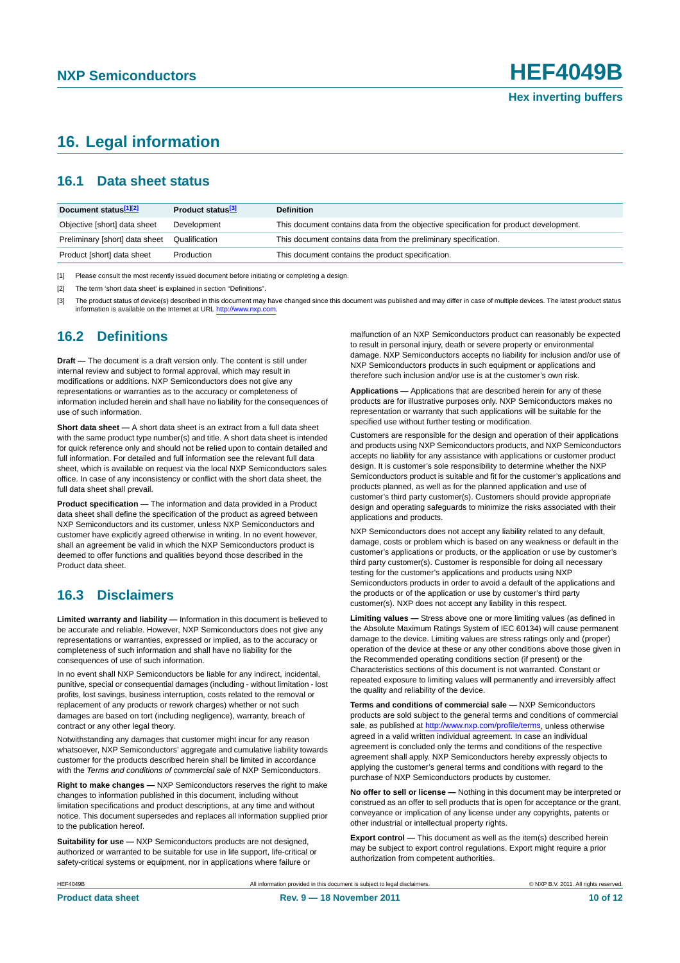### <span id="page-9-0"></span>**16. Legal information**

#### <span id="page-9-1"></span>**16.1 Data sheet status**

| Document status <sup>[1][2]</sup> | Product status <sup>[3]</sup> | <b>Definition</b>                                                                     |
|-----------------------------------|-------------------------------|---------------------------------------------------------------------------------------|
| Objective [short] data sheet      | Development                   | This document contains data from the objective specification for product development. |
| Preliminary [short] data sheet    | Qualification                 | This document contains data from the preliminary specification.                       |
| Product [short] data sheet        | Production                    | This document contains the product specification.                                     |

[1] Please consult the most recently issued document before initiating or completing a design.

[2] The term 'short data sheet' is explained in section "Definitions".

[3] The product status of device(s) described in this document may have changed since this document was published and may differ in case of multiple devices. The latest product status<br>information is available on the Intern

#### <span id="page-9-2"></span>**16.2 Definitions**

**Draft —** The document is a draft version only. The content is still under internal review and subject to formal approval, which may result in modifications or additions. NXP Semiconductors does not give any representations or warranties as to the accuracy or completeness of information included herein and shall have no liability for the consequences of use of such information.

**Short data sheet —** A short data sheet is an extract from a full data sheet with the same product type number(s) and title. A short data sheet is intended for quick reference only and should not be relied upon to contain detailed and full information. For detailed and full information see the relevant full data sheet, which is available on request via the local NXP Semiconductors sales office. In case of any inconsistency or conflict with the short data sheet, the full data sheet shall prevail.

**Product specification —** The information and data provided in a Product data sheet shall define the specification of the product as agreed between NXP Semiconductors and its customer, unless NXP Semiconductors and customer have explicitly agreed otherwise in writing. In no event however, shall an agreement be valid in which the NXP Semiconductors product is deemed to offer functions and qualities beyond those described in the Product data sheet.

#### <span id="page-9-3"></span>**16.3 Disclaimers**

**Limited warranty and liability —** Information in this document is believed to be accurate and reliable. However, NXP Semiconductors does not give any representations or warranties, expressed or implied, as to the accuracy or completeness of such information and shall have no liability for the consequences of use of such information.

In no event shall NXP Semiconductors be liable for any indirect, incidental, punitive, special or consequential damages (including - without limitation - lost profits, lost savings, business interruption, costs related to the removal or replacement of any products or rework charges) whether or not such damages are based on tort (including negligence), warranty, breach of contract or any other legal theory.

Notwithstanding any damages that customer might incur for any reason whatsoever, NXP Semiconductors' aggregate and cumulative liability towards customer for the products described herein shall be limited in accordance with the *Terms and conditions of commercial sale* of NXP Semiconductors.

**Right to make changes —** NXP Semiconductors reserves the right to make changes to information published in this document, including without limitation specifications and product descriptions, at any time and without notice. This document supersedes and replaces all information supplied prior to the publication hereof.

**Suitability for use —** NXP Semiconductors products are not designed, authorized or warranted to be suitable for use in life support, life-critical or safety-critical systems or equipment, nor in applications where failure or

malfunction of an NXP Semiconductors product can reasonably be expected to result in personal injury, death or severe property or environmental damage. NXP Semiconductors accepts no liability for inclusion and/or use of NXP Semiconductors products in such equipment or applications and therefore such inclusion and/or use is at the customer's own risk.

**Applications —** Applications that are described herein for any of these products are for illustrative purposes only. NXP Semiconductors makes no representation or warranty that such applications will be suitable for the specified use without further testing or modification.

Customers are responsible for the design and operation of their applications and products using NXP Semiconductors products, and NXP Semiconductors accepts no liability for any assistance with applications or customer product design. It is customer's sole responsibility to determine whether the NXP Semiconductors product is suitable and fit for the customer's applications and products planned, as well as for the planned application and use of customer's third party customer(s). Customers should provide appropriate design and operating safeguards to minimize the risks associated with their applications and products.

NXP Semiconductors does not accept any liability related to any default, damage, costs or problem which is based on any weakness or default in the customer's applications or products, or the application or use by customer's third party customer(s). Customer is responsible for doing all necessary testing for the customer's applications and products using NXP Semiconductors products in order to avoid a default of the applications and the products or of the application or use by customer's third party customer(s). NXP does not accept any liability in this respect.

**Limiting values —** Stress above one or more limiting values (as defined in the Absolute Maximum Ratings System of IEC 60134) will cause permanent damage to the device. Limiting values are stress ratings only and (proper) operation of the device at these or any other conditions above those given in the Recommended operating conditions section (if present) or the Characteristics sections of this document is not warranted. Constant or repeated exposure to limiting values will permanently and irreversibly affect the quality and reliability of the device.

**Terms and conditions of commercial sale —** NXP Semiconductors products are sold subject to the general terms and conditions of commercial sale, as published at<http://www.nxp.com/profile/terms>, unless otherwise agreed in a valid written individual agreement. In case an individual agreement is concluded only the terms and conditions of the respective agreement shall apply. NXP Semiconductors hereby expressly objects to applying the customer's general terms and conditions with regard to the purchase of NXP Semiconductors products by customer.

**No offer to sell or license —** Nothing in this document may be interpreted or construed as an offer to sell products that is open for acceptance or the grant, conveyance or implication of any license under any copyrights, patents or other industrial or intellectual property rights.

**Export control —** This document as well as the item(s) described herein may be subject to export control regulations. Export might require a prior authorization from competent authorities.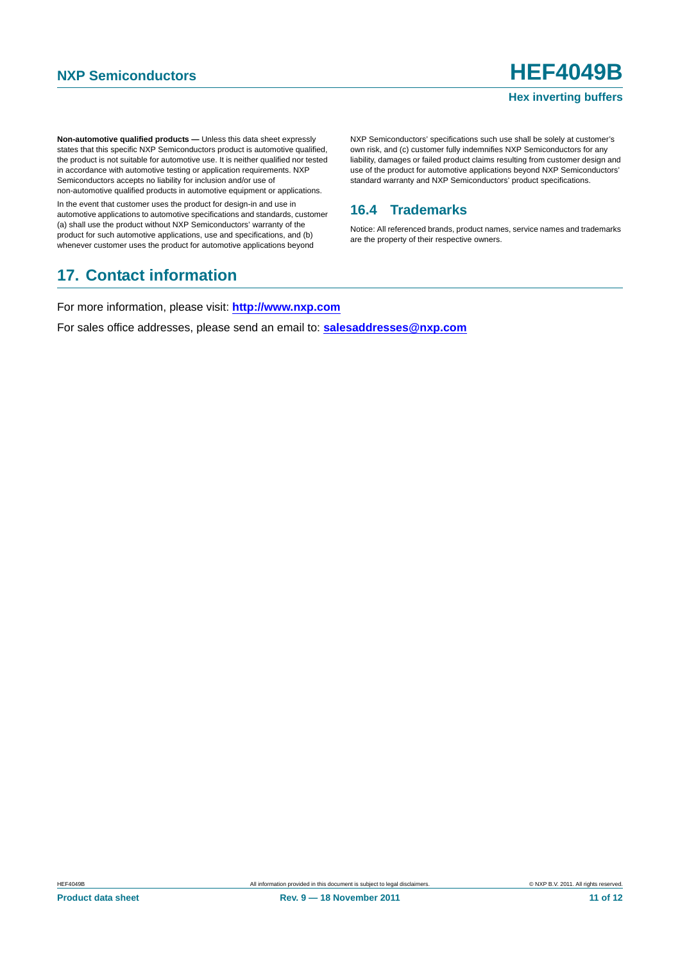**Non-automotive qualified products —** Unless this data sheet expressly states that this specific NXP Semiconductors product is automotive qualified, the product is not suitable for automotive use. It is neither qualified nor tested in accordance with automotive testing or application requirements. NXP Semiconductors accepts no liability for inclusion and/or use of non-automotive qualified products in automotive equipment or applications.

In the event that customer uses the product for design-in and use in automotive applications to automotive specifications and standards, customer (a) shall use the product without NXP Semiconductors' warranty of the product for such automotive applications, use and specifications, and (b) whenever customer uses the product for automotive applications beyond

### <span id="page-10-1"></span>**17. Contact information**

NXP Semiconductors' specifications such use shall be solely at customer's own risk, and (c) customer fully indemnifies NXP Semiconductors for any liability, damages or failed product claims resulting from customer design and use of the product for automotive applications beyond NXP Semiconductors' standard warranty and NXP Semiconductors' product specifications.

#### <span id="page-10-0"></span>**16.4 Trademarks**

Notice: All referenced brands, product names, service names and trademarks are the property of their respective owners.

For more information, please visit: **http://www.nxp.com**

For sales office addresses, please send an email to: **salesaddresses@nxp.com**